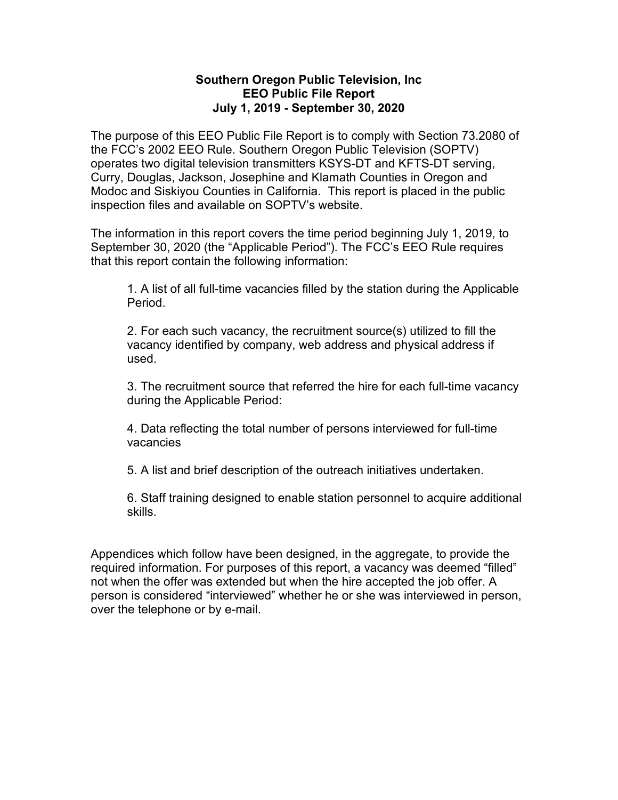## **Southern Oregon Public Television, Inc EEO Public File Report July 1, 2019 - September 30, 2020**

The purpose of this EEO Public File Report is to comply with Section 73.2080 of the FCC's 2002 EEO Rule. Southern Oregon Public Television (SOPTV) operates two digital television transmitters KSYS-DT and KFTS-DT serving, Curry, Douglas, Jackson, Josephine and Klamath Counties in Oregon and Modoc and Siskiyou Counties in California. This report is placed in the public inspection files and available on SOPTV's website.

The information in this report covers the time period beginning July 1, 2019, to September 30, 2020 (the "Applicable Period"). The FCC's EEO Rule requires that this report contain the following information:

1. A list of all full-time vacancies filled by the station during the Applicable Period.

2. For each such vacancy, the recruitment source(s) utilized to fill the vacancy identified by company, web address and physical address if used.

3. The recruitment source that referred the hire for each full-time vacancy during the Applicable Period:

4. Data reflecting the total number of persons interviewed for full-time vacancies

5. A list and brief description of the outreach initiatives undertaken.

6. Staff training designed to enable station personnel to acquire additional skills.

Appendices which follow have been designed, in the aggregate, to provide the required information. For purposes of this report, a vacancy was deemed "filled" not when the offer was extended but when the hire accepted the job offer. A person is considered "interviewed" whether he or she was interviewed in person, over the telephone or by e-mail.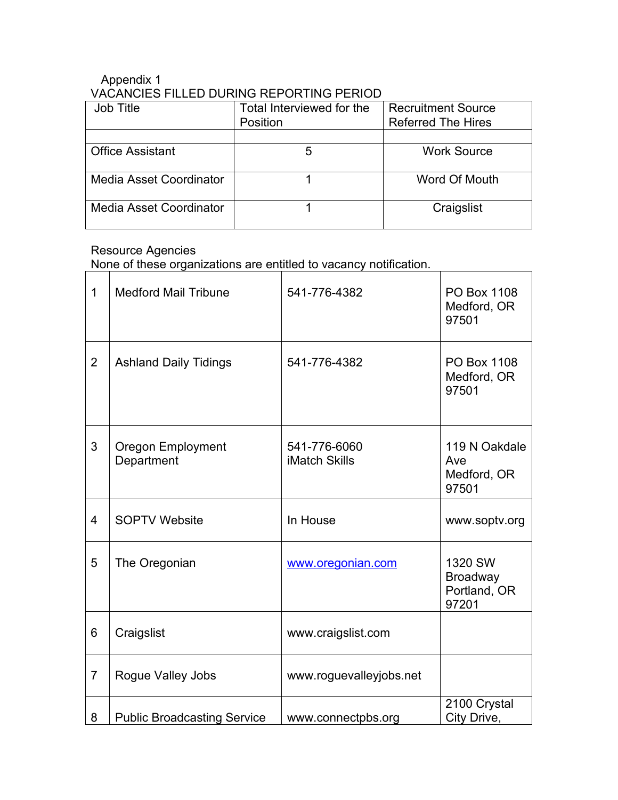## Appendix 1 VACANCIES FILLED DURING REPORTING PERIOD

| Job Title                      | Total Interviewed for the<br>Position | <b>Recruitment Source</b><br><b>Referred The Hires</b> |
|--------------------------------|---------------------------------------|--------------------------------------------------------|
|                                |                                       |                                                        |
| <b>Office Assistant</b>        |                                       | <b>Work Source</b>                                     |
| <b>Media Asset Coordinator</b> |                                       | Word Of Mouth                                          |
| Media Asset Coordinator        |                                       | Craigslist                                             |

# Resource Agencies

None of these organizations are entitled to vacancy notification.

| $\mathbf 1$    | <b>Medford Mail Tribune</b>            | 541-776-4382                         | PO Box 1108<br>Medford, OR<br>97501                 |
|----------------|----------------------------------------|--------------------------------------|-----------------------------------------------------|
| $\overline{2}$ | <b>Ashland Daily Tidings</b>           | 541-776-4382                         | PO Box 1108<br>Medford, OR<br>97501                 |
| 3              | <b>Oregon Employment</b><br>Department | 541-776-6060<br><b>iMatch Skills</b> | 119 N Oakdale<br>Ave<br>Medford, OR<br>97501        |
| $\overline{4}$ | <b>SOPTV Website</b>                   | In House                             | www.soptv.org                                       |
| 5              | The Oregonian                          | www.oregonian.com                    | 1320 SW<br><b>Broadway</b><br>Portland, OR<br>97201 |
| 6              | Craigslist                             | www.craigslist.com                   |                                                     |
| $\overline{7}$ | <b>Rogue Valley Jobs</b>               | www.roguevalleyjobs.net              |                                                     |
| 8              | <b>Public Broadcasting Service</b>     | www.connectpbs.org                   | 2100 Crystal<br>City Drive,                         |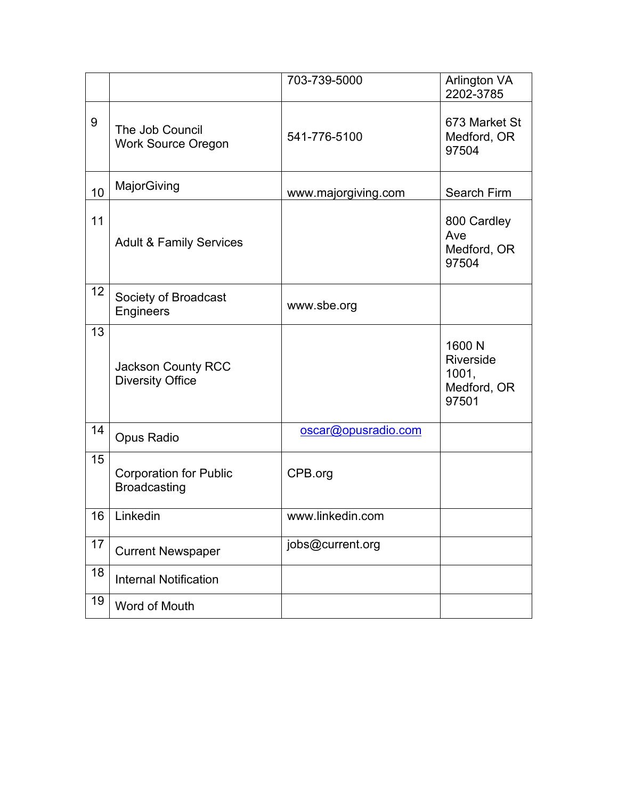|    |                                                      | 703-739-5000        | <b>Arlington VA</b><br>2202-3785                     |
|----|------------------------------------------------------|---------------------|------------------------------------------------------|
| 9  | The Job Council<br><b>Work Source Oregon</b>         | 541-776-5100        | 673 Market St<br>Medford, OR<br>97504                |
| 10 | MajorGiving                                          | www.majorgiving.com | Search Firm                                          |
| 11 | <b>Adult &amp; Family Services</b>                   |                     | 800 Cardley<br>Ave<br>Medford, OR<br>97504           |
| 12 | Society of Broadcast<br>Engineers                    | www.sbe.org         |                                                      |
| 13 | <b>Jackson County RCC</b><br><b>Diversity Office</b> |                     | 1600 N<br>Riverside<br>1001,<br>Medford, OR<br>97501 |
| 14 | Opus Radio                                           | oscar@opusradio.com |                                                      |
| 15 | <b>Corporation for Public</b><br><b>Broadcasting</b> | CPB.org             |                                                      |
| 16 | Linkedin                                             | www.linkedin.com    |                                                      |
| 17 | <b>Current Newspaper</b>                             | jobs@current.org    |                                                      |
| 18 | <b>Internal Notification</b>                         |                     |                                                      |
| 19 | Word of Mouth                                        |                     |                                                      |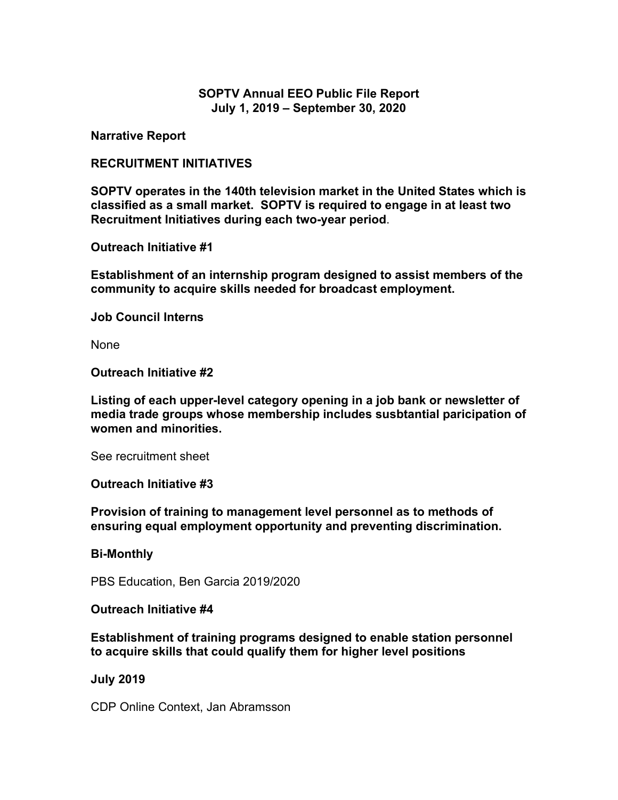## **SOPTV Annual EEO Public File Report July 1, 2019 – September 30, 2020**

**Narrative Report**

### **RECRUITMENT INITIATIVES**

**SOPTV operates in the 140th television market in the United States which is classified as a small market. SOPTV is required to engage in at least two Recruitment Initiatives during each two-year period**.

**Outreach Initiative #1**

**Establishment of an internship program designed to assist members of the community to acquire skills needed for broadcast employment.**

**Job Council Interns**

None

**Outreach Initiative #2**

**Listing of each upper-level category opening in a job bank or newsletter of media trade groups whose membership includes susbtantial paricipation of women and minorities.**

See recruitment sheet

#### **Outreach Initiative #3**

**Provision of training to management level personnel as to methods of ensuring equal employment opportunity and preventing discrimination.**

#### **Bi-Monthly**

PBS Education, Ben Garcia 2019/2020

#### **Outreach Initiative #4**

**Establishment of training programs designed to enable station personnel to acquire skills that could qualify them for higher level positions**

#### **July 2019**

CDP Online Context, Jan Abramsson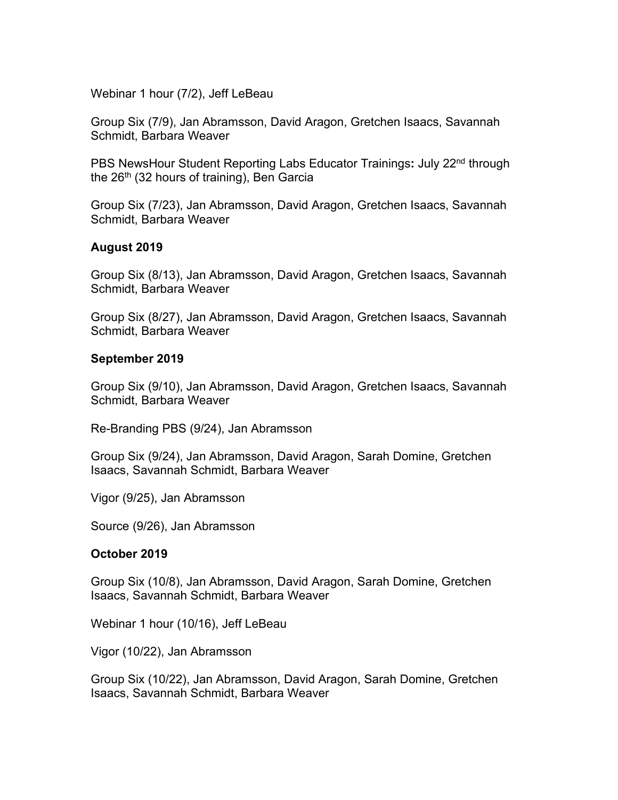Webinar 1 hour (7/2), Jeff LeBeau

Group Six (7/9), Jan Abramsson, David Aragon, Gretchen Isaacs, Savannah Schmidt, Barbara Weaver

PBS NewsHour Student Reporting Labs Educator Trainings**:** July 22nd through the  $26<sup>th</sup>$  (32 hours of training), Ben Garcia

Group Six (7/23), Jan Abramsson, David Aragon, Gretchen Isaacs, Savannah Schmidt, Barbara Weaver

## **August 2019**

Group Six (8/13), Jan Abramsson, David Aragon, Gretchen Isaacs, Savannah Schmidt, Barbara Weaver

Group Six (8/27), Jan Abramsson, David Aragon, Gretchen Isaacs, Savannah Schmidt, Barbara Weaver

### **September 2019**

Group Six (9/10), Jan Abramsson, David Aragon, Gretchen Isaacs, Savannah Schmidt, Barbara Weaver

Re-Branding PBS (9/24), Jan Abramsson

Group Six (9/24), Jan Abramsson, David Aragon, Sarah Domine, Gretchen Isaacs, Savannah Schmidt, Barbara Weaver

Vigor (9/25), Jan Abramsson

Source (9/26), Jan Abramsson

#### **October 2019**

Group Six (10/8), Jan Abramsson, David Aragon, Sarah Domine, Gretchen Isaacs, Savannah Schmidt, Barbara Weaver

Webinar 1 hour (10/16), Jeff LeBeau

Vigor (10/22), Jan Abramsson

Group Six (10/22), Jan Abramsson, David Aragon, Sarah Domine, Gretchen Isaacs, Savannah Schmidt, Barbara Weaver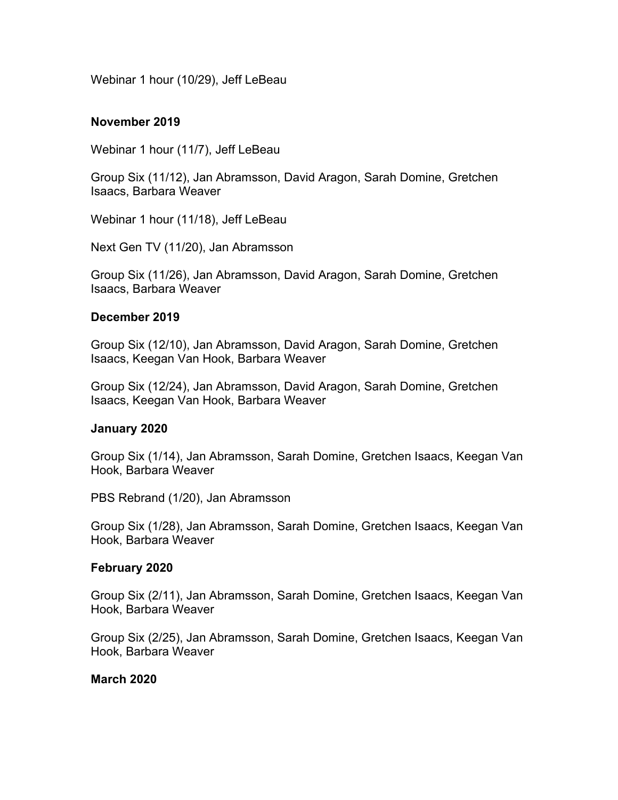Webinar 1 hour (10/29), Jeff LeBeau

#### **November 2019**

Webinar 1 hour (11/7), Jeff LeBeau

Group Six (11/12), Jan Abramsson, David Aragon, Sarah Domine, Gretchen Isaacs, Barbara Weaver

Webinar 1 hour (11/18), Jeff LeBeau

Next Gen TV (11/20), Jan Abramsson

Group Six (11/26), Jan Abramsson, David Aragon, Sarah Domine, Gretchen Isaacs, Barbara Weaver

#### **December 2019**

Group Six (12/10), Jan Abramsson, David Aragon, Sarah Domine, Gretchen Isaacs, Keegan Van Hook, Barbara Weaver

Group Six (12/24), Jan Abramsson, David Aragon, Sarah Domine, Gretchen Isaacs, Keegan Van Hook, Barbara Weaver

#### **January 2020**

Group Six (1/14), Jan Abramsson, Sarah Domine, Gretchen Isaacs, Keegan Van Hook, Barbara Weaver

PBS Rebrand (1/20), Jan Abramsson

Group Six (1/28), Jan Abramsson, Sarah Domine, Gretchen Isaacs, Keegan Van Hook, Barbara Weaver

#### **February 2020**

Group Six (2/11), Jan Abramsson, Sarah Domine, Gretchen Isaacs, Keegan Van Hook, Barbara Weaver

Group Six (2/25), Jan Abramsson, Sarah Domine, Gretchen Isaacs, Keegan Van Hook, Barbara Weaver

## **March 2020**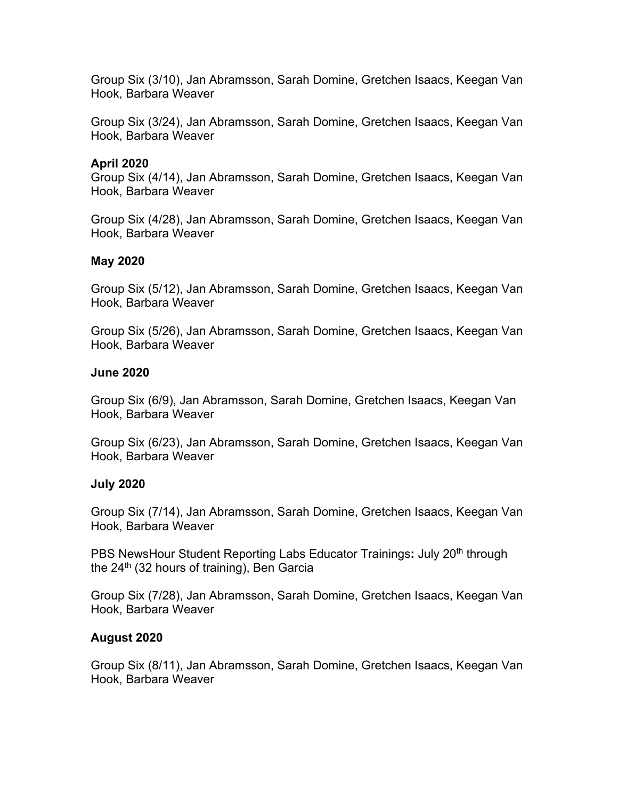Group Six (3/10), Jan Abramsson, Sarah Domine, Gretchen Isaacs, Keegan Van Hook, Barbara Weaver

Group Six (3/24), Jan Abramsson, Sarah Domine, Gretchen Isaacs, Keegan Van Hook, Barbara Weaver

## **April 2020**

Group Six (4/14), Jan Abramsson, Sarah Domine, Gretchen Isaacs, Keegan Van Hook, Barbara Weaver

Group Six (4/28), Jan Abramsson, Sarah Domine, Gretchen Isaacs, Keegan Van Hook, Barbara Weaver

### **May 2020**

Group Six (5/12), Jan Abramsson, Sarah Domine, Gretchen Isaacs, Keegan Van Hook, Barbara Weaver

Group Six (5/26), Jan Abramsson, Sarah Domine, Gretchen Isaacs, Keegan Van Hook, Barbara Weaver

### **June 2020**

Group Six (6/9), Jan Abramsson, Sarah Domine, Gretchen Isaacs, Keegan Van Hook, Barbara Weaver

Group Six (6/23), Jan Abramsson, Sarah Domine, Gretchen Isaacs, Keegan Van Hook, Barbara Weaver

#### **July 2020**

Group Six (7/14), Jan Abramsson, Sarah Domine, Gretchen Isaacs, Keegan Van Hook, Barbara Weaver

PBS NewsHour Student Reporting Labs Educator Trainings: July 20<sup>th</sup> through the  $24<sup>th</sup>$  (32 hours of training), Ben Garcia

Group Six (7/28), Jan Abramsson, Sarah Domine, Gretchen Isaacs, Keegan Van Hook, Barbara Weaver

## **August 2020**

Group Six (8/11), Jan Abramsson, Sarah Domine, Gretchen Isaacs, Keegan Van Hook, Barbara Weaver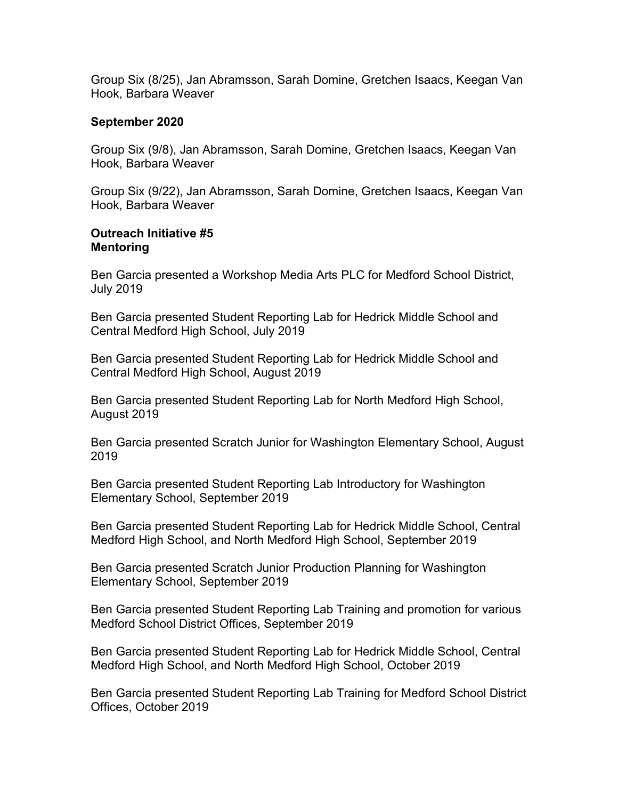Group Six (8/25), Jan Abramsson, Sarah Domine, Gretchen Isaacs, Keegan Van Hook, Barbara Weaver

#### **September 2020**

Group Six (9/8), Jan Abramsson, Sarah Domine, Gretchen Isaacs, Keegan Van Hook, Barbara Weaver

Group Six (9/22), Jan Abramsson, Sarah Domine, Gretchen Isaacs, Keegan Van Hook, Barbara Weaver

#### **Outreach Initiative #5 Mentoring**

Ben Garcia presented a Workshop Media Arts PLC for Medford School District, July 2019

Ben Garcia presented Student Reporting Lab for Hedrick Middle School and Central Medford High School, July 2019

Ben Garcia presented Student Reporting Lab for Hedrick Middle School and Central Medford High School, August 2019

Ben Garcia presented Student Reporting Lab for North Medford High School, August 2019

Ben Garcia presented Scratch Junior for Washington Elementary School, August 2019

Ben Garcia presented Student Reporting Lab Introductory for Washington Elementary School, September 2019

Ben Garcia presented Student Reporting Lab for Hedrick Middle School, Central Medford High School, and North Medford High School, September 2019

Ben Garcia presented Scratch Junior Production Planning for Washington Elementary School, September 2019

Ben Garcia presented Student Reporting Lab Training and promotion for various Medford School District Offices, September 2019

Ben Garcia presented Student Reporting Lab for Hedrick Middle School, Central Medford High School, and North Medford High School, October 2019

Ben Garcia presented Student Reporting Lab Training for Medford School District Offices, October 2019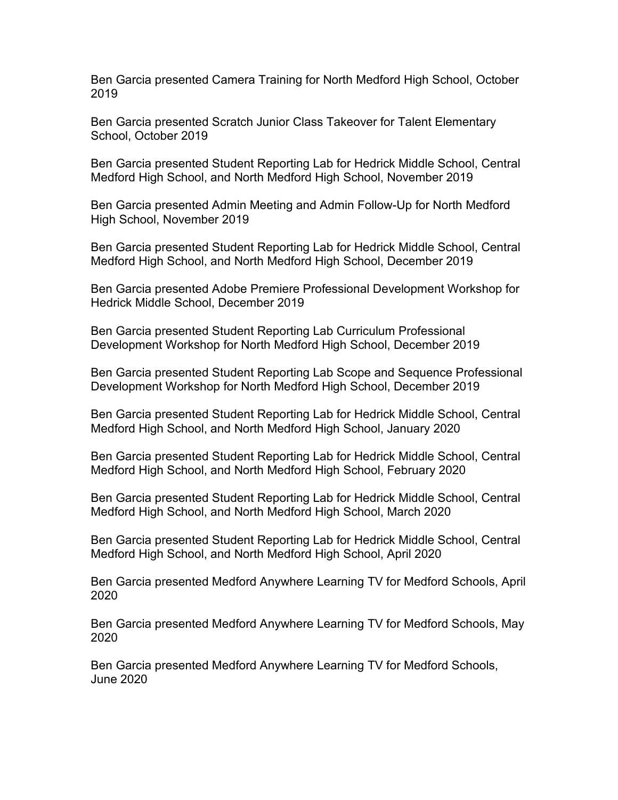Ben Garcia presented Camera Training for North Medford High School, October 2019

Ben Garcia presented Scratch Junior Class Takeover for Talent Elementary School, October 2019

Ben Garcia presented Student Reporting Lab for Hedrick Middle School, Central Medford High School, and North Medford High School, November 2019

Ben Garcia presented Admin Meeting and Admin Follow-Up for North Medford High School, November 2019

Ben Garcia presented Student Reporting Lab for Hedrick Middle School, Central Medford High School, and North Medford High School, December 2019

Ben Garcia presented Adobe Premiere Professional Development Workshop for Hedrick Middle School, December 2019

Ben Garcia presented Student Reporting Lab Curriculum Professional Development Workshop for North Medford High School, December 2019

Ben Garcia presented Student Reporting Lab Scope and Sequence Professional Development Workshop for North Medford High School, December 2019

Ben Garcia presented Student Reporting Lab for Hedrick Middle School, Central Medford High School, and North Medford High School, January 2020

Ben Garcia presented Student Reporting Lab for Hedrick Middle School, Central Medford High School, and North Medford High School, February 2020

Ben Garcia presented Student Reporting Lab for Hedrick Middle School, Central Medford High School, and North Medford High School, March 2020

Ben Garcia presented Student Reporting Lab for Hedrick Middle School, Central Medford High School, and North Medford High School, April 2020

Ben Garcia presented Medford Anywhere Learning TV for Medford Schools, April 2020

Ben Garcia presented Medford Anywhere Learning TV for Medford Schools, May 2020

Ben Garcia presented Medford Anywhere Learning TV for Medford Schools, June 2020